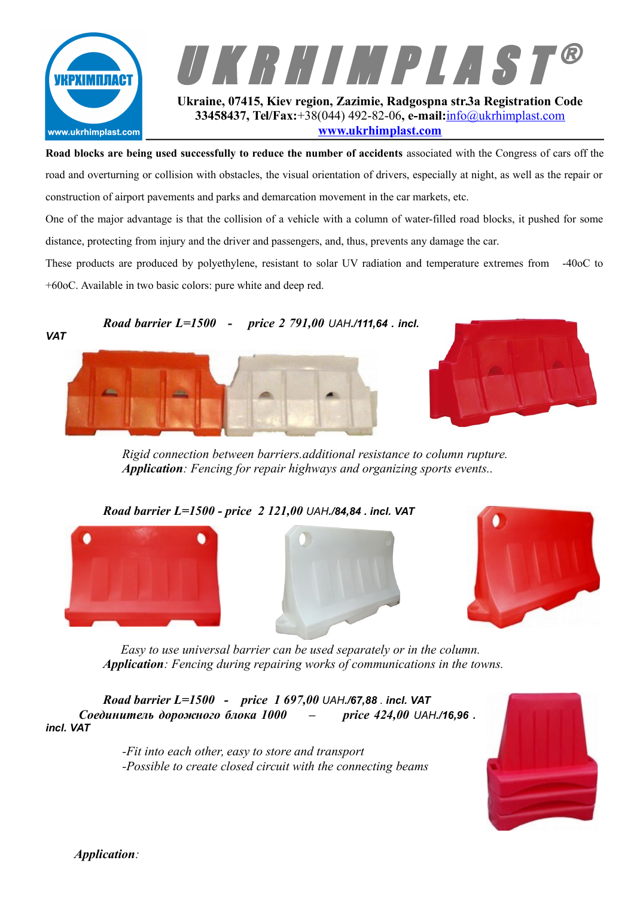



**33458437, Tel/Fax:**+38(044) 492-82-06**, e-mail:**[info@ukrhimplast.com](mailto:info@ukrhimplast.com) **[www.ukrhimplast.com](http://www.ukrhimplast.com/)**

**Road blocks are being used successfully to reduce the number of accidents** associated with the Congress of cars off the road and overturning or collision with obstacles, the visual orientation of drivers, especially at night, as well as the repair or construction of airport pavements and parks and demarcation movement in the car markets, etc.

One of the major advantage is that the collision of a vehicle with a column of water-filled road blocks, it pushed for some distance, protecting from injury and the driver and passengers, and, thus, prevents any damage the car.

These products are produced by polyethylene, resistant to solar UV radiation and temperature extremes from -40oC to +60оС. Available in two basic colors: pure white and deep red.

## *Road barrier L=1500 - price 2 791,00 UAH./111,64 . incl.*





*Rigid connection between barriers.additional resistance to column rupture. Application: Fencing for repair highways and organizing sports events..*





*Easy to use universal barrier can be used separately or in the column. Application: Fencing during repairing works of communications in the towns.*

*Road barrier L=1500 - price 1 697,00 UAH./67,88 . incl. VAT Соединитель дорожного блока 1000 – price 424,00 UAH./16,96 . incl. VAT*

> *-Fit into each other, easy to store and transport -Possible to create closed circuit with the connecting beams*



*Application:*